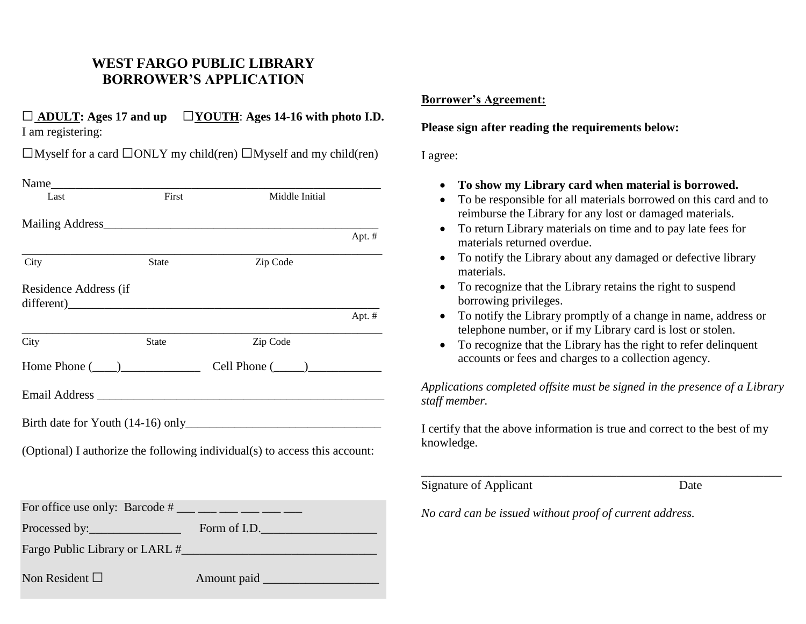# **WEST FARGO PUBLIC LIBRARY BORROWER'S APPLICATION**

## **□ ADULT: Ages 17 and up □YOUTH**: **Ages 14-16 with photo I.D.** I am registering:

 $\square$ Myself for a card  $\square$ ONLY my child(ren)  $\square$ Myself and my child(ren)

| Last                                                                       | First        | Middle Initial                          |        |  |
|----------------------------------------------------------------------------|--------------|-----------------------------------------|--------|--|
|                                                                            |              |                                         |        |  |
|                                                                            |              |                                         | Apt. # |  |
| City                                                                       | <b>State</b> | Zip Code                                |        |  |
| Residence Address (if<br>$\text{different}$ )                              |              |                                         |        |  |
|                                                                            |              |                                         | Apt. # |  |
| City                                                                       | <b>State</b> | Zip Code                                |        |  |
|                                                                            |              | Home Phone $(\_\_)$ Cell Phone $(\_\_)$ |        |  |
|                                                                            |              |                                         |        |  |
|                                                                            |              |                                         |        |  |
| (Optional) I authorize the following individual(s) to access this account: |              |                                         |        |  |
|                                                                            |              |                                         |        |  |
| For office use only: Barcode $\#$ ___ __ __ __ __ __ __                    |              |                                         |        |  |

Processed by:\_\_\_\_\_\_\_\_\_\_\_\_\_\_\_ Form of I.D.\_\_\_\_\_\_\_\_\_\_\_\_\_\_\_\_\_\_\_

Fargo Public Library or LARL #

Non Resident □ Amount paid \_\_\_\_\_\_\_\_\_\_\_\_\_\_\_\_\_\_\_

### **Borrower's Agreement:**

### **Please sign after reading the requirements below:**

#### I agree:

- **To show my Library card when material is borrowed.**
- To be responsible for all materials borrowed on this card and to reimburse the Library for any lost or damaged materials.
- To return Library materials on time and to pay late fees for materials returned overdue.
- To notify the Library about any damaged or defective library materials.
- To recognize that the Library retains the right to suspend borrowing privileges.
- To notify the Library promptly of a change in name, address or telephone number, or if my Library card is lost or stolen.
- To recognize that the Library has the right to refer delinquent accounts or fees and charges to a collection agency.

*Applications completed offsite must be signed in the presence of a Library staff member.*

I certify that the above information is true and correct to the best of my knowledge.

\_\_\_\_\_\_\_\_\_\_\_\_\_\_\_\_\_\_\_\_\_\_\_\_\_\_\_\_\_\_\_\_\_\_\_\_\_\_\_\_\_\_\_\_\_\_\_\_\_\_\_\_\_\_\_\_\_\_\_

Signature of Applicant Date

*No card can be issued without proof of current address.*